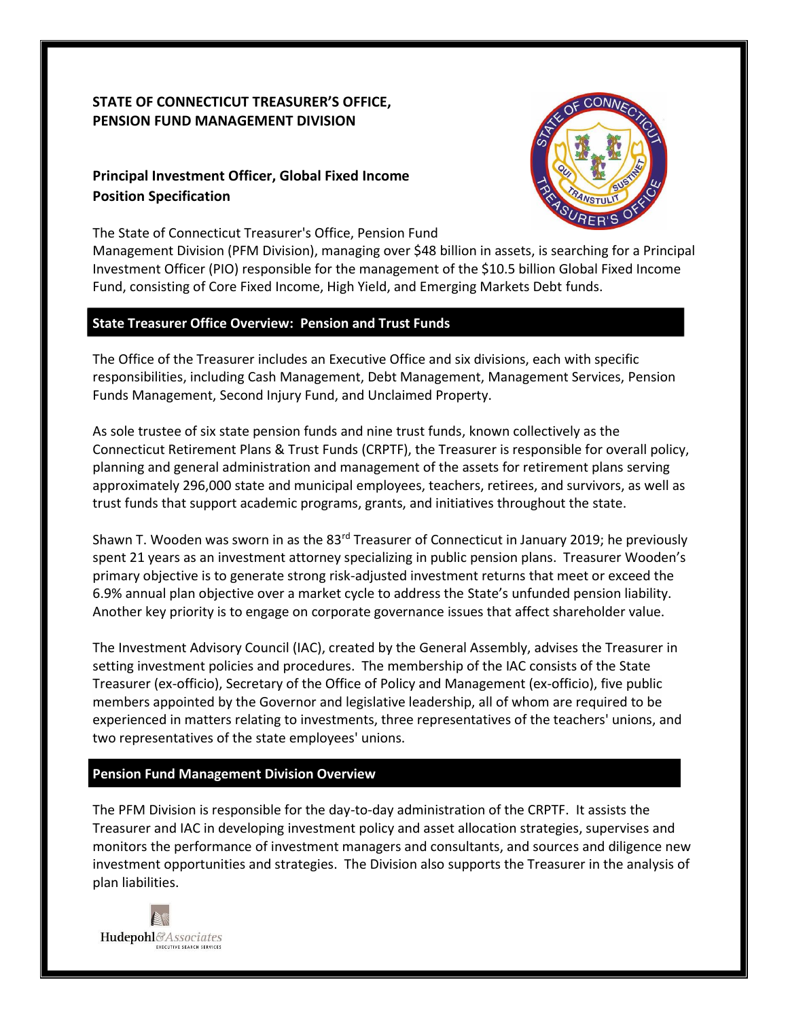# **STATE OF CONNECTICUT TREASURER'S OFFICE, PENSION FUND MANAGEMENT DIVISION**

# **Principal Investment Officer, Global Fixed Income Position Specification**

The State of Connecticut Treasurer's Office, Pension Fund



Management Division (PFM Division), managing over \$48 billion in assets, is searching for a Principal Investment Officer (PIO) responsible for the management of the \$10.5 billion Global Fixed Income Fund, consisting of Core Fixed Income, High Yield, and Emerging Markets Debt funds.

## **State Treasurer Office Overview: Pension and Trust Funds**

The Office of the Treasurer includes an Executive Office and six divisions, each with specific responsibilities, including Cash Management, Debt Management, Management Services, Pension Funds Management, Second Injury Fund, and Unclaimed Property.

As sole trustee of six state pension funds and nine trust funds, known collectively as the Connecticut Retirement Plans & Trust Funds (CRPTF), the Treasurer is responsible for overall policy, planning and general administration and management of the assets for retirement plans serving approximately 296,000 state and municipal employees, teachers, retirees, and survivors, as well as trust funds that support academic programs, grants, and initiatives throughout the state.

Shawn T. Wooden was sworn in as the 83<sup>rd</sup> Treasurer of Connecticut in January 2019; he previously spent 21 years as an investment attorney specializing in public pension plans. Treasurer Wooden's primary objective is to generate strong risk-adjusted investment returns that meet or exceed the 6.9% annual plan objective over a market cycle to address the State's unfunded pension liability. Another key priority is to engage on corporate governance issues that affect shareholder value.

The Investment Advisory Council (IAC), created by the General Assembly, advises the Treasurer in setting investment policies and procedures. The membership of the IAC consists of the State Treasurer (ex-officio), Secretary of the Office of Policy and Management (ex-officio), five public members appointed by the Governor and legislative leadership, all of whom are required to be experienced in matters relating to investments, three representatives of the teachers' unions, and two representatives of the state employees' unions.

# **Pension Fund Management Division Overview**

The PFM Division is responsible for the day-to-day administration of the CRPTF. It assists the Treasurer and IAC in developing investment policy and asset allocation strategies, supervises and monitors the performance of investment managers and consultants, and sources and diligence new investment opportunities and strategies. The Division also supports the Treasurer in the analysis of plan liabilities.

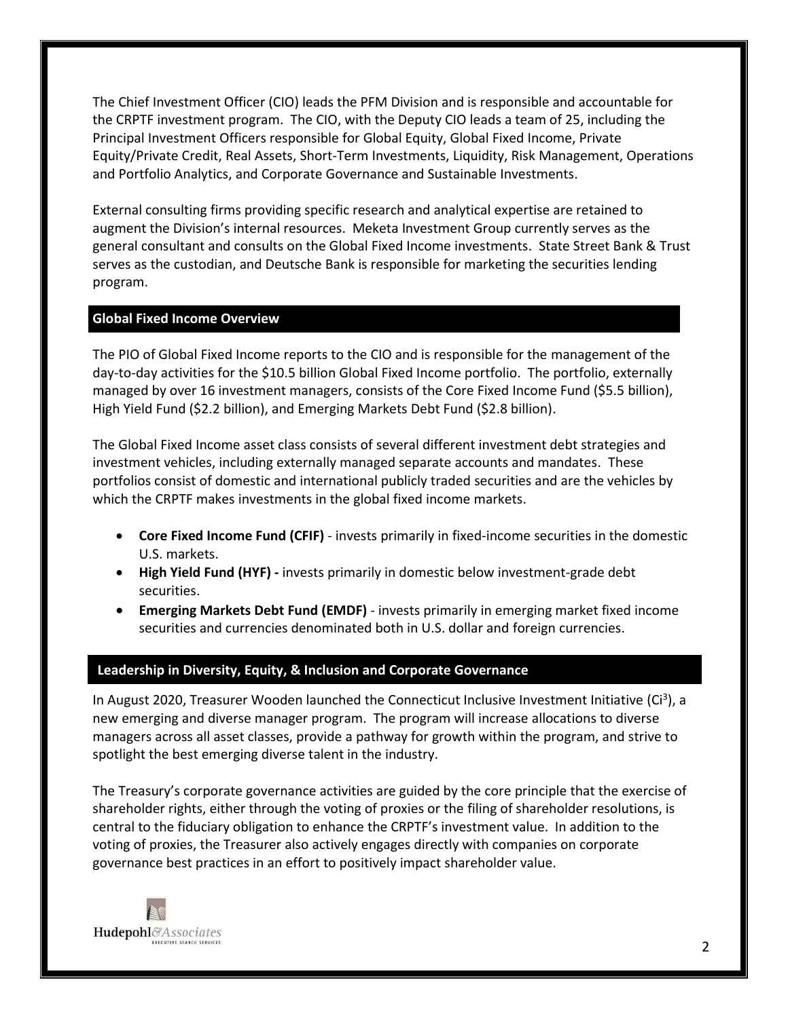The Chief Investment Officer (CIO) leads the PFM Division and is responsible and accountable for the CRPTF investment program. The CIO, with the Deputy CIO leads a team of 25, including the Principal Investment Officers responsible for Global Equity, Global Fixed Income, Private Equity/Private Credit, Real Assets, Short-Term Investments, Liquidity, Risk Management, Operations and Portfolio Analytics, and Corporate Governance and Sustainable Investments.

External consulting firms providing specific research and analytical expertise are retained to augment the Division's internal resources. Meketa Investment Group currently serves as the general consultant and consults on the Global Fixed Income investments. State Street Bank & Trust serves as the custodian, and Deutsche Bank is responsible for marketing the securities lending program.

#### **Global Fixed Income Overview**

The PIO of Global Fixed Income reports to the CIO and is responsible for the management of the day-to-day activities for the \$10.5 billion Global Fixed Income portfolio. The portfolio, externally managed by over 16 investment managers, consists of the Core Fixed Income Fund (\$5.5 billion), High Yield Fund (\$2.2 billion), and Emerging Markets Debt Fund (\$2.8 billion).

The Global Fixed Income asset class consists of several different investment debt strategies and investment vehicles, including externally managed separate accounts and mandates. These portfolios consist of domestic and international publicly traded securities and are the vehicles by which the CRPTF makes investments in the global fixed income markets.

- **Core Fixed Income Fund (CFIF)** invests primarily in fixed-income securities in the domestic U.S. markets.
- **High Yield Fund (HYF) -** invests primarily in domestic below investment-grade debt securities.
- **Emerging Markets Debt Fund (EMDF)** invests primarily in emerging market fixed income securities and currencies denominated both in U.S. dollar and foreign currencies.

#### **Leadership in Diversity, Equity, & Inclusion and Corporate Governance**

In August 2020, Treasurer Wooden launched the Connecticut Inclusive Investment Initiative (Ci<sup>3</sup>), a new emerging and diverse manager program. The program will increase allocations to diverse managers across all asset classes, provide a pathway for growth within the program, and strive to spotlight the best emerging diverse talent in the industry.

The Treasury's corporate governance activities are guided by the core principle that the exercise of shareholder rights, either through the voting of proxies or the filing of shareholder resolutions, is central to the fiduciary obligation to enhance the CRPTF's investment value. In addition to the voting of proxies, the Treasurer also actively engages directly with companies on corporate governance best practices in an effort to positively impact shareholder value.

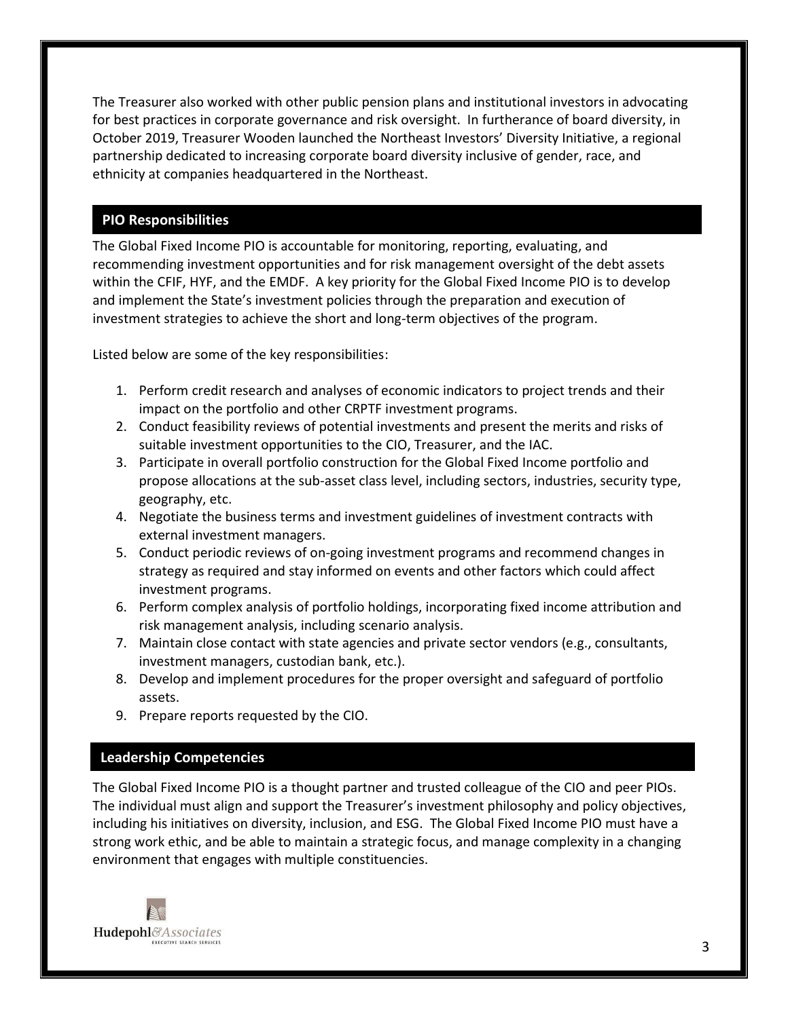The Treasurer also worked with other public pension plans and institutional investors in advocating for best practices in corporate governance and risk oversight. In furtherance of board diversity, in October 2019, Treasurer Wooden launched the Northeast Investors' Diversity Initiative, a regional partnership dedicated to increasing corporate board diversity inclusive of gender, race, and ethnicity at companies headquartered in the Northeast.

# **PIO Responsibilities**

The Global Fixed Income PIO is accountable for monitoring, reporting, evaluating, and recommending investment opportunities and for risk management oversight of the debt assets within the CFIF, HYF, and the EMDF. A key priority for the Global Fixed Income PIO is to develop and implement the State's investment policies through the preparation and execution of investment strategies to achieve the short and long-term objectives of the program.

Listed below are some of the key responsibilities:

- 1. Perform credit research and analyses of economic indicators to project trends and their impact on the portfolio and other CRPTF investment programs.
- 2. Conduct feasibility reviews of potential investments and present the merits and risks of suitable investment opportunities to the CIO, Treasurer, and the IAC.
- 3. Participate in overall portfolio construction for the Global Fixed Income portfolio and propose allocations at the sub-asset class level, including sectors, industries, security type, geography, etc.
- 4. Negotiate the business terms and investment guidelines of investment contracts with external investment managers.
- 5. Conduct periodic reviews of on-going investment programs and recommend changes in strategy as required and stay informed on events and other factors which could affect investment programs.
- 6. Perform complex analysis of portfolio holdings, incorporating fixed income attribution and risk management analysis, including scenario analysis.
- 7. Maintain close contact with state agencies and private sector vendors (e.g., consultants, investment managers, custodian bank, etc.).
- 8. Develop and implement procedures for the proper oversight and safeguard of portfolio assets.
- 9. Prepare reports requested by the CIO.

# **Leadership Competencies**

The Global Fixed Income PIO is a thought partner and trusted colleague of the CIO and peer PIOs. The individual must align and support the Treasurer's investment philosophy and policy objectives, including his initiatives on diversity, inclusion, and ESG. The Global Fixed Income PIO must have a strong work ethic, and be able to maintain a strategic focus, and manage complexity in a changing environment that engages with multiple constituencies.

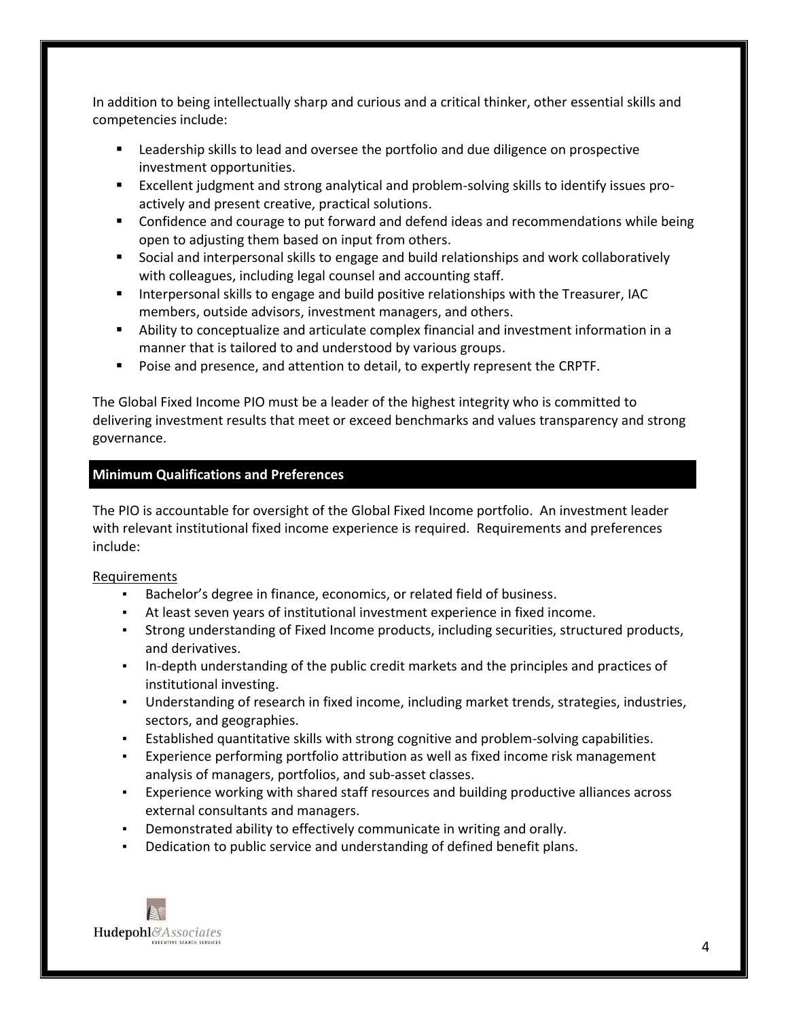In addition to being intellectually sharp and curious and a critical thinker, other essential skills and competencies include:

- Leadership skills to lead and oversee the portfolio and due diligence on prospective investment opportunities.
- Excellent judgment and strong analytical and problem-solving skills to identify issues proactively and present creative, practical solutions.
- Confidence and courage to put forward and defend ideas and recommendations while being open to adjusting them based on input from others.
- Social and interpersonal skills to engage and build relationships and work collaboratively with colleagues, including legal counsel and accounting staff.
- Interpersonal skills to engage and build positive relationships with the Treasurer, IAC members, outside advisors, investment managers, and others.
- Ability to conceptualize and articulate complex financial and investment information in a manner that is tailored to and understood by various groups.
- Poise and presence, and attention to detail, to expertly represent the CRPTF.

The Global Fixed Income PIO must be a leader of the highest integrity who is committed to delivering investment results that meet or exceed benchmarks and values transparency and strong governance.

## **Minimum Qualifications and Preferences**

The PIO is accountable for oversight of the Global Fixed Income portfolio. An investment leader with relevant institutional fixed income experience is required. Requirements and preferences include:

#### Requirements

- Bachelor's degree in finance, economics, or related field of business.
- At least seven years of institutional investment experience in fixed income.
- Strong understanding of Fixed Income products, including securities, structured products, and derivatives.
- In-depth understanding of the public credit markets and the principles and practices of institutional investing.
- Understanding of research in fixed income, including market trends, strategies, industries, sectors, and geographies.
- Established quantitative skills with strong cognitive and problem-solving capabilities.
- Experience performing portfolio attribution as well as fixed income risk management analysis of managers, portfolios, and sub-asset classes.
- Experience working with shared staff resources and building productive alliances across external consultants and managers.
- Demonstrated ability to effectively communicate in writing and orally.
- Dedication to public service and understanding of defined benefit plans.